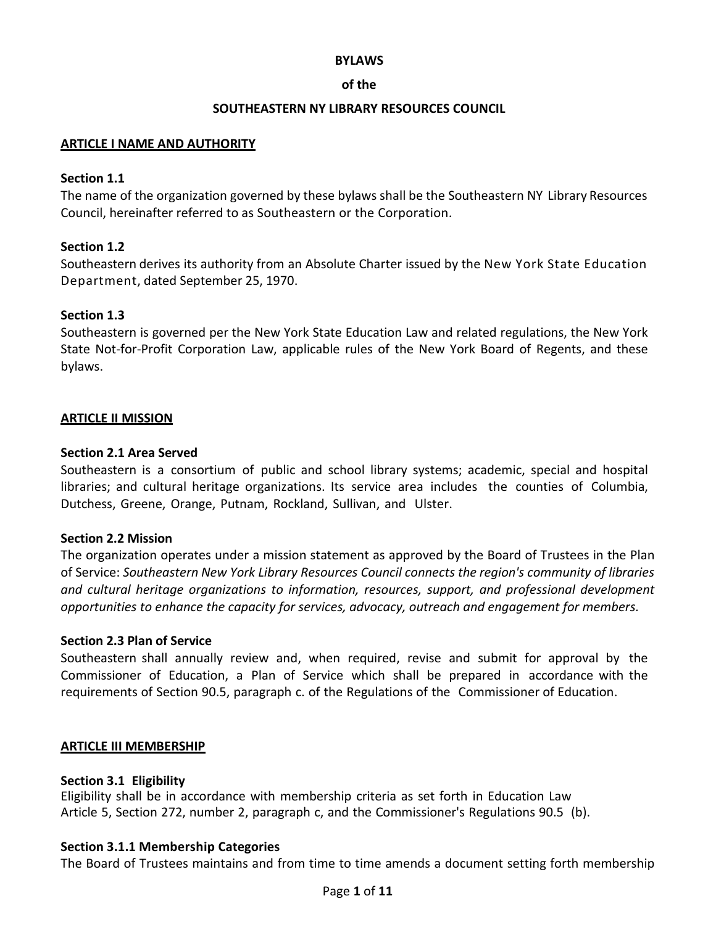### **BYLAWS**

## **of the**

## **SOUTHEASTERN NY LIBRARY RESOURCES COUNCIL**

## **ARTICLE I NAME AND AUTHORITY**

## **Section 1.1**

The name of the organization governed by these bylaws shall be the Southeastern NY Library Resources Council, hereinafter referred to as Southeastern or the Corporation.

# **Section 1.2**

Southeastern derives its authority from an Absolute Charter issued by the New York State Education Department, dated September 25, 1970.

## **Section 1.3**

Southeastern is governed per the New York State Education Law and related regulations, the New York State Not-for-Profit Corporation Law, applicable rules of the New York Board of Regents, and these bylaws.

## **ARTICLE II MISSION**

## **Section 2.1 Area Served**

Southeastern is a consortium of public and school library systems; academic, special and hospital libraries; and cultural heritage organizations. Its service area includes the counties of Columbia, Dutchess, Greene, Orange, Putnam, Rockland, Sullivan, and Ulster.

### **Section 2.2 Mission**

The organization operates under a mission statement as approved by the Board of Trustees in the Plan of Service: *Southeastern New York Library Resources Council connects the region's community of libraries and cultural heritage organizations to information, resources, support, and professional development opportunities to enhance the capacity for services, advocacy, outreach and engagement for members.*

### **Section 2.3 Plan of Service**

Southeastern shall annually review and, when required, revise and submit for approval by the Commissioner of Education, a Plan of Service which shall be prepared in accordance with the requirements of Section 90.5, paragraph c. of the Regulations of the Commissioner of Education.

### **ARTICLE III MEMBERSHIP**

### **Section 3.1 Eligibility**

Eligibility shall be in accordance with membership criteria as set forth in Education Law Article 5, Section 272, number 2, paragraph c, and the Commissioner's Regulations 90.5 (b).

# **Section 3.1.1 Membership Categories**

The Board of Trustees maintains and from time to time amends a document setting forth membership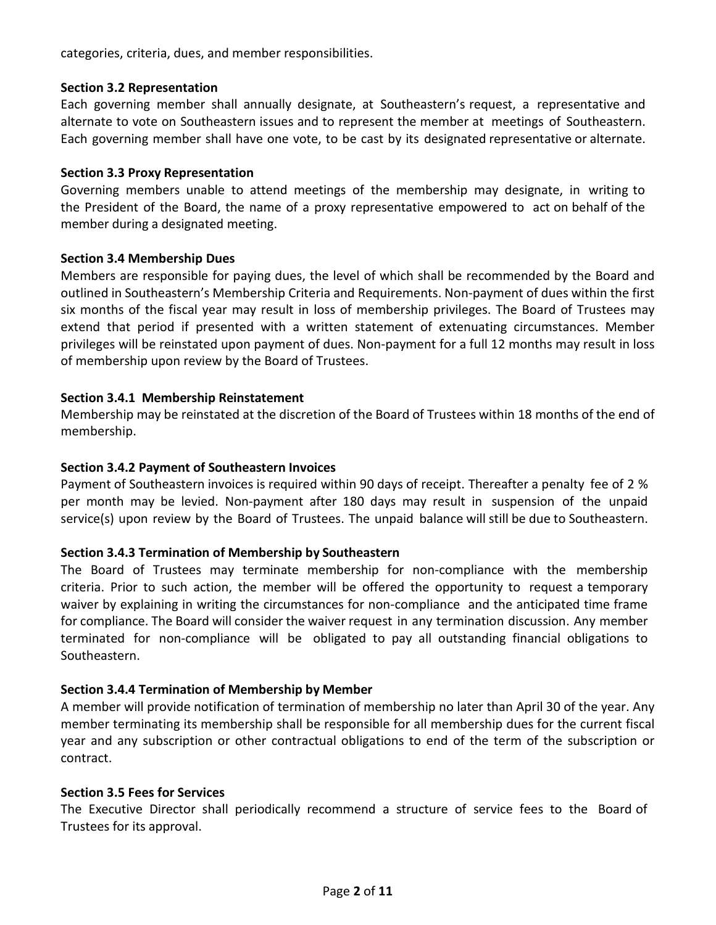categories, criteria, dues, and member responsibilities.

## **Section 3.2 Representation**

Each governing member shall annually designate, at Southeastern's request, a representative and alternate to vote on Southeastern issues and to represent the member at meetings of Southeastern. Each governing member shall have one vote, to be cast by its designated representative or alternate.

## **Section 3.3 Proxy Representation**

Governing members unable to attend meetings of the membership may designate, in writing to the President of the Board, the name of a proxy representative empowered to act on behalf of the member during a designated meeting.

## **Section 3.4 Membership Dues**

Members are responsible for paying dues, the level of which shall be recommended by the Board and outlined in Southeastern's Membership Criteria and Requirements. Non-payment of dues within the first six months of the fiscal year may result in loss of membership privileges. The Board of Trustees may extend that period if presented with a written statement of extenuating circumstances. Member privileges will be reinstated upon payment of dues. Non-payment for a full 12 months may result in loss of membership upon review by the Board of Trustees.

# **Section 3.4.1 Membership Reinstatement**

Membership may be reinstated at the discretion of the Board of Trustees within 18 months of the end of membership.

## **Section 3.4.2 Payment of Southeastern Invoices**

Payment of Southeastern invoices is required within 90 days of receipt. Thereafter a penalty fee of 2 % per month may be levied. Non-payment after 180 days may result in suspension of the unpaid service(s) upon review by the Board of Trustees. The unpaid balance will still be due to Southeastern.

# **Section 3.4.3 Termination of Membership by Southeastern**

The Board of Trustees may terminate membership for non-compliance with the membership criteria. Prior to such action, the member will be offered the opportunity to request a temporary waiver by explaining in writing the circumstances for non-compliance and the anticipated time frame for compliance. The Board will consider the waiver request in any termination discussion. Any member terminated for non-compliance will be obligated to pay all outstanding financial obligations to Southeastern.

# **Section 3.4.4 Termination of Membership by Member**

A member will provide notification of termination of membership no later than April 30 of the year. Any member terminating its membership shall be responsible for all membership dues for the current fiscal year and any subscription or other contractual obligations to end of the term of the subscription or contract.

### **Section 3.5 Fees for Services**

The Executive Director shall periodically recommend a structure of service fees to the Board of Trustees for its approval.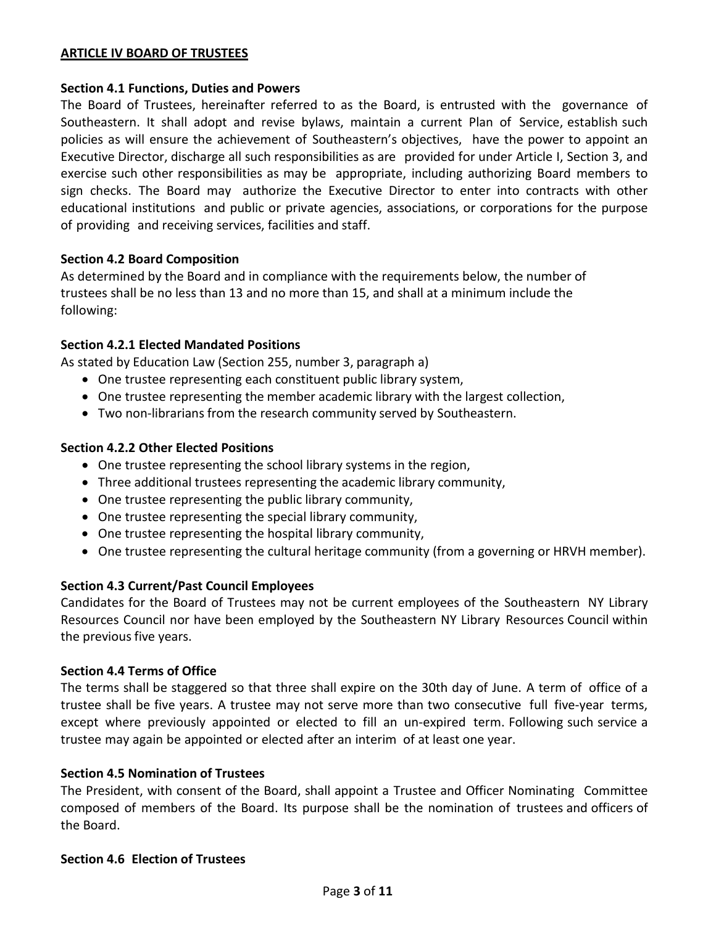## **ARTICLE IV BOARD OF TRUSTEES**

### **Section 4.1 Functions, Duties and Powers**

The Board of Trustees, hereinafter referred to as the Board, is entrusted with the governance of Southeastern. It shall adopt and revise bylaws, maintain a current Plan of Service, establish such policies as will ensure the achievement of Southeastern's objectives, have the power to appoint an Executive Director, discharge all such responsibilities as are provided for under Article I, Section 3, and exercise such other responsibilities as may be appropriate, including authorizing Board members to sign checks. The Board may authorize the Executive Director to enter into contracts with other educational institutions and public or private agencies, associations, or corporations for the purpose of providing and receiving services, facilities and staff.

### **Section 4.2 Board Composition**

As determined by the Board and in compliance with the requirements below, the number of trustees shall be no less than 13 and no more than 15, and shall at a minimum include the following:

### **Section 4.2.1 Elected Mandated Positions**

As stated by Education Law (Section 255, number 3, paragraph a)

- One trustee representing each constituent public library system,
- One trustee representing the member academic library with the largest collection,
- Two non-librarians from the research community served by Southeastern.

### **Section 4.2.2 Other Elected Positions**

- One trustee representing the school library systems in the region,
- Three additional trustees representing the academic library community,
- One trustee representing the public library community,
- One trustee representing the special library community,
- One trustee representing the hospital library community,
- One trustee representing the cultural heritage community (from a governing or HRVH member).

### **Section 4.3 Current/Past Council Employees**

Candidates for the Board of Trustees may not be current employees of the Southeastern NY Library Resources Council nor have been employed by the Southeastern NY Library Resources Council within the previous five years.

### **Section 4.4 Terms of Office**

The terms shall be staggered so that three shall expire on the 30th day of June. A term of office of a trustee shall be five years. A trustee may not serve more than two consecutive full five-year terms, except where previously appointed or elected to fill an un-expired term. Following such service a trustee may again be appointed or elected after an interim of at least one year.

## **Section 4.5 Nomination of Trustees**

The President, with consent of the Board, shall appoint a Trustee and Officer Nominating Committee composed of members of the Board. Its purpose shall be the nomination of trustees and officers of the Board.

### **Section 4.6 Election of Trustees**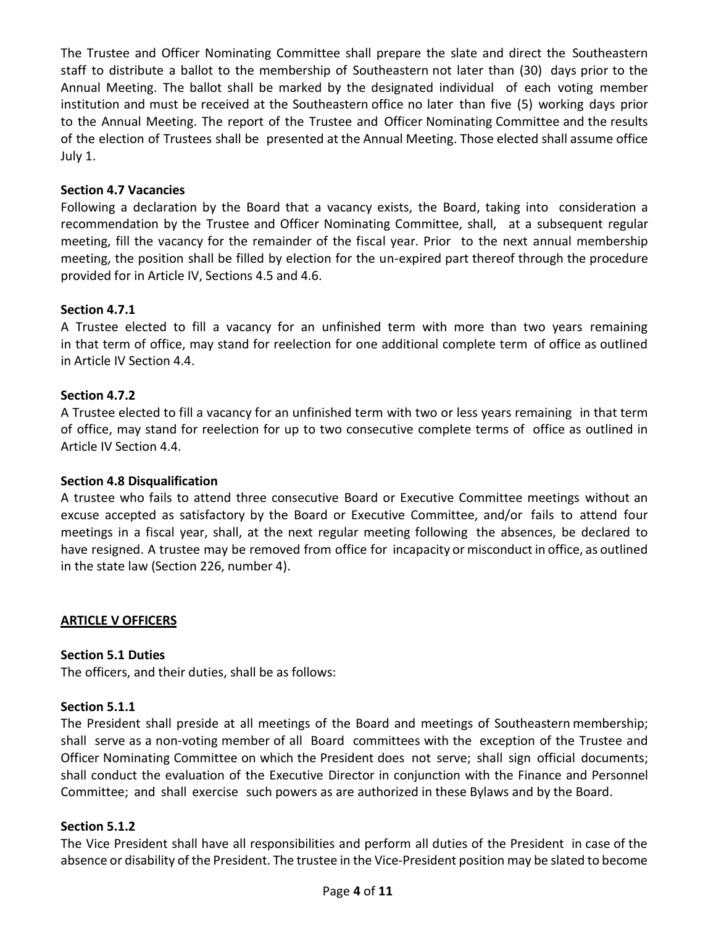The Trustee and Officer Nominating Committee shall prepare the slate and direct the Southeastern staff to distribute a ballot to the membership of Southeastern not later than (30) days prior to the Annual Meeting. The ballot shall be marked by the designated individual of each voting member institution and must be received at the Southeastern office no later than five (5) working days prior to the Annual Meeting. The report of the Trustee and Officer Nominating Committee and the results of the election of Trustees shall be presented at the Annual Meeting. Those elected shall assume office July 1.

## **Section 4.7 Vacancies**

Following a declaration by the Board that a vacancy exists, the Board, taking into consideration a recommendation by the Trustee and Officer Nominating Committee, shall, at a subsequent regular meeting, fill the vacancy for the remainder of the fiscal year. Prior to the next annual membership meeting, the position shall be filled by election for the un-expired part thereof through the procedure provided for in Article IV, Sections 4.5 and 4.6.

## **Section 4.7.1**

A Trustee elected to fill a vacancy for an unfinished term with more than two years remaining in that term of office, may stand for reelection for one additional complete term of office as outlined in Article IV Section 4.4.

## **Section 4.7.2**

A Trustee elected to fill a vacancy for an unfinished term with two or less years remaining in that term of office, may stand for reelection for up to two consecutive complete terms of office as outlined in Article IV Section 4.4.

### **Section 4.8 Disqualification**

A trustee who fails to attend three consecutive Board or Executive Committee meetings without an excuse accepted as satisfactory by the Board or Executive Committee, and/or fails to attend four meetings in a fiscal year, shall, at the next regular meeting following the absences, be declared to have resigned. A trustee may be removed from office for incapacity or misconduct in office, as outlined in the state law (Section 226, number 4).

# **ARTICLE V OFFICERS**

### **Section 5.1 Duties**

The officers, and their duties, shall be as follows:

## **Section 5.1.1**

The President shall preside at all meetings of the Board and meetings of Southeastern membership; shall serve as a non-voting member of all Board committees with the exception of the Trustee and Officer Nominating Committee on which the President does not serve; shall sign official documents; shall conduct the evaluation of the Executive Director in conjunction with the Finance and Personnel Committee; and shall exercise such powers as are authorized in these Bylaws and by the Board.

# **Section 5.1.2**

The Vice President shall have all responsibilities and perform all duties of the President in case of the absence or disability of the President. The trustee in the Vice-President position may be slated to become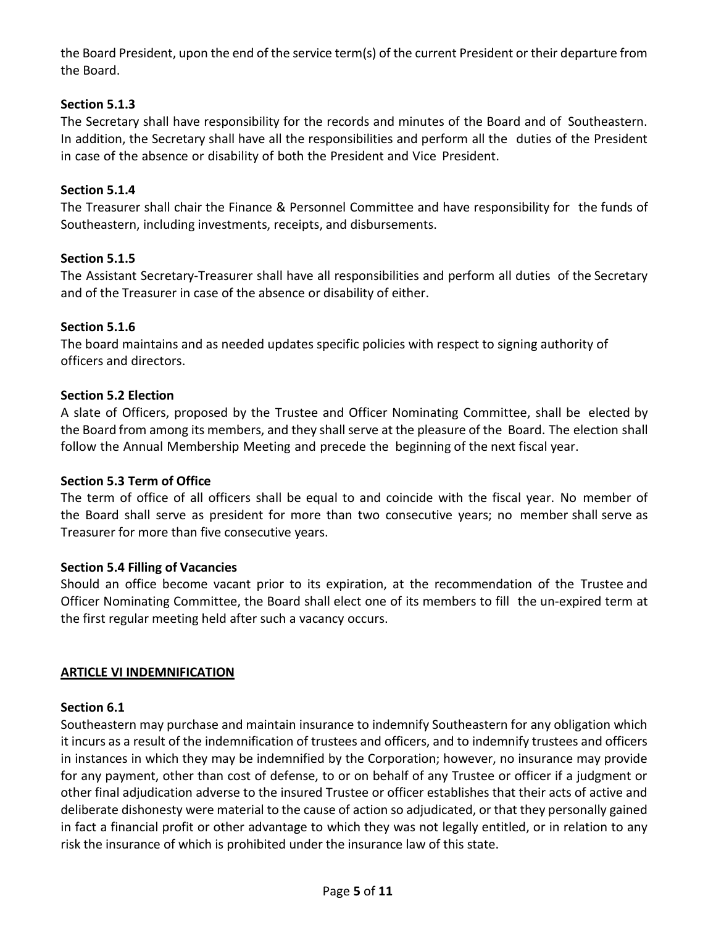the Board President, upon the end of the service term(s) of the current President or their departure from the Board.

# **Section 5.1.3**

The Secretary shall have responsibility for the records and minutes of the Board and of Southeastern. In addition, the Secretary shall have all the responsibilities and perform all the duties of the President in case of the absence or disability of both the President and Vice President.

# **Section 5.1.4**

The Treasurer shall chair the Finance & Personnel Committee and have responsibility for the funds of Southeastern, including investments, receipts, and disbursements.

# **Section 5.1.5**

The Assistant Secretary-Treasurer shall have all responsibilities and perform all duties of the Secretary and of the Treasurer in case of the absence or disability of either.

# **Section 5.1.6**

The board maintains and as needed updates specific policies with respect to signing authority of officers and directors.

# **Section 5.2 Election**

A slate of Officers, proposed by the Trustee and Officer Nominating Committee, shall be elected by the Board from among its members, and they shall serve at the pleasure of the Board. The election shall follow the Annual Membership Meeting and precede the beginning of the next fiscal year.

# **Section 5.3 Term of Office**

The term of office of all officers shall be equal to and coincide with the fiscal year. No member of the Board shall serve as president for more than two consecutive years; no member shall serve as Treasurer for more than five consecutive years.

# **Section 5.4 Filling of Vacancies**

Should an office become vacant prior to its expiration, at the recommendation of the Trustee and Officer Nominating Committee, the Board shall elect one of its members to fill the un-expired term at the first regular meeting held after such a vacancy occurs.

### **ARTICLE VI INDEMNIFICATION**

### **Section 6.1**

Southeastern may purchase and maintain insurance to indemnify Southeastern for any obligation which it incurs as a result of the indemnification of trustees and officers, and to indemnify trustees and officers in instances in which they may be indemnified by the Corporation; however, no insurance may provide for any payment, other than cost of defense, to or on behalf of any Trustee or officer if a judgment or other final adjudication adverse to the insured Trustee or officer establishes that their acts of active and deliberate dishonesty were material to the cause of action so adjudicated, or that they personally gained in fact a financial profit or other advantage to which they was not legally entitled, or in relation to any risk the insurance of which is prohibited under the insurance law of this state.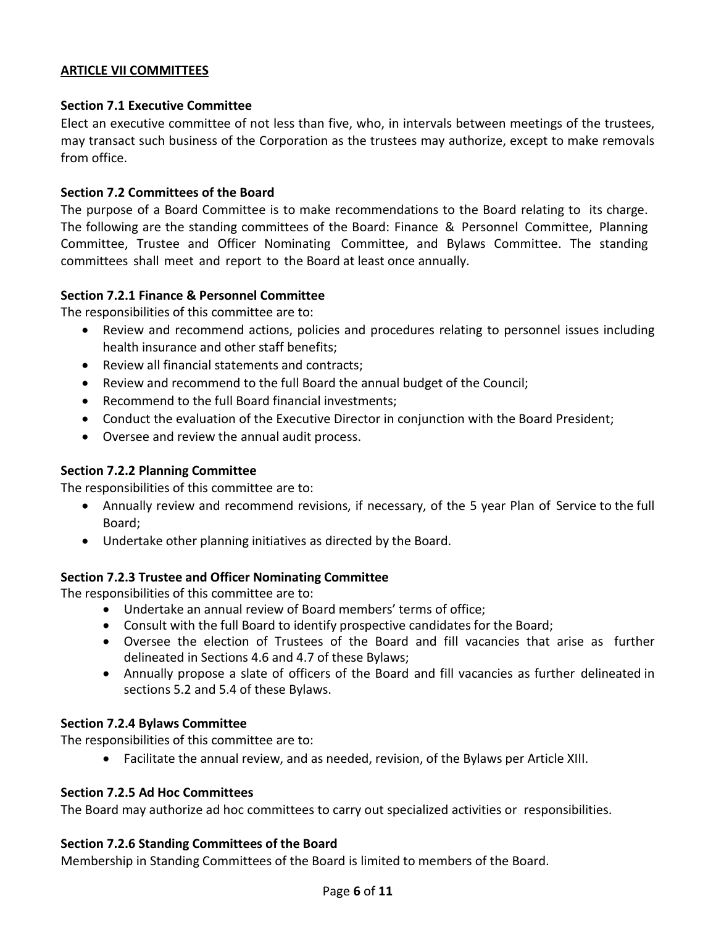# **ARTICLE VII COMMITTEES**

# **Section 7.1 Executive Committee**

Elect an executive committee of not less than five, who, in intervals between meetings of the trustees, may transact such business of the Corporation as the trustees may authorize, except to make removals from office.

# **Section 7.2 Committees of the Board**

The purpose of a Board Committee is to make recommendations to the Board relating to its charge. The following are the standing committees of the Board: Finance & Personnel Committee, Planning Committee, Trustee and Officer Nominating Committee, and Bylaws Committee. The standing committees shall meet and report to the Board at least once annually.

# **Section 7.2.1 Finance & Personnel Committee**

The responsibilities of this committee are to:

- Review and recommend actions, policies and procedures relating to personnel issues including health insurance and other staff benefits;
- Review all financial statements and contracts;
- Review and recommend to the full Board the annual budget of the Council;
- Recommend to the full Board financial investments;
- Conduct the evaluation of the Executive Director in conjunction with the Board President;
- Oversee and review the annual audit process.

# **Section 7.2.2 Planning Committee**

The responsibilities of this committee are to:

- Annually review and recommend revisions, if necessary, of the 5 year Plan of Service to the full Board;
- Undertake other planning initiatives as directed by the Board.

# **Section 7.2.3 Trustee and Officer Nominating Committee**

The responsibilities of this committee are to:

- Undertake an annual review of Board members' terms of office;
- Consult with the full Board to identify prospective candidates for the Board;
- Oversee the election of Trustees of the Board and fill vacancies that arise as further delineated in Sections 4.6 and 4.7 of these Bylaws;
- Annually propose a slate of officers of the Board and fill vacancies as further delineated in sections 5.2 and 5.4 of these Bylaws.

# **Section 7.2.4 Bylaws Committee**

The responsibilities of this committee are to:

• Facilitate the annual review, and as needed, revision, of the Bylaws per Article XIII.

# **Section 7.2.5 Ad Hoc Committees**

The Board may authorize ad hoc committees to carry out specialized activities or responsibilities.

# **Section 7.2.6 Standing Committees of the Board**

Membership in Standing Committees of the Board is limited to members of the Board.

### Page **6** of **11**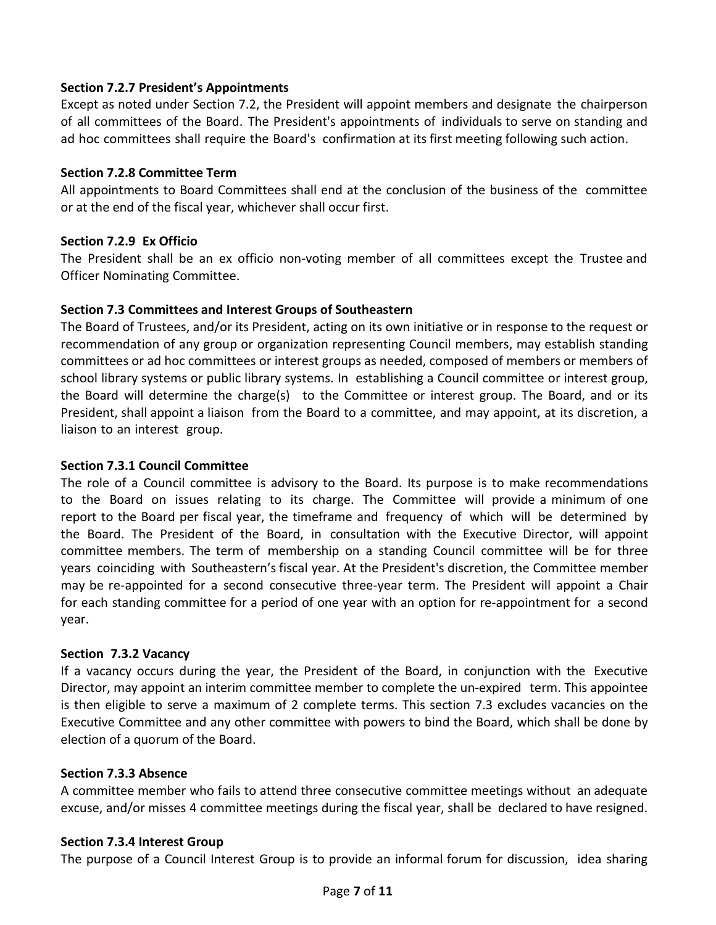# **Section 7.2.7 President's Appointments**

Except as noted under Section 7.2, the President will appoint members and designate the chairperson of all committees of the Board. The President's appointments of individuals to serve on standing and ad hoc committees shall require the Board's confirmation at its first meeting following such action.

# **Section 7.2.8 Committee Term**

All appointments to Board Committees shall end at the conclusion of the business of the committee or at the end of the fiscal year, whichever shall occur first.

# **Section 7.2.9 Ex Officio**

The President shall be an ex officio non-voting member of all committees except the Trustee and Officer Nominating Committee.

# **Section 7.3 Committees and Interest Groups of Southeastern**

The Board of Trustees, and/or its President, acting on its own initiative or in response to the request or recommendation of any group or organization representing Council members, may establish standing committees or ad hoc committees or interest groups as needed, composed of members or members of school library systems or public library systems. In establishing a Council committee or interest group, the Board will determine the charge(s) to the Committee or interest group. The Board, and or its President, shall appoint a liaison from the Board to a committee, and may appoint, at its discretion, a liaison to an interest group.

# **Section 7.3.1 Council Committee**

The role of a Council committee is advisory to the Board. Its purpose is to make recommendations to the Board on issues relating to its charge. The Committee will provide a minimum of one report to the Board per fiscal year, the timeframe and frequency of which will be determined by the Board. The President of the Board, in consultation with the Executive Director, will appoint committee members. The term of membership on a standing Council committee will be for three years coinciding with Southeastern's fiscal year. At the President's discretion, the Committee member may be re-appointed for a second consecutive three-year term. The President will appoint a Chair for each standing committee for a period of one year with an option for re-appointment for a second year.

# **Section 7.3.2 Vacancy**

If a vacancy occurs during the year, the President of the Board, in conjunction with the Executive Director, may appoint an interim committee member to complete the un-expired term. This appointee is then eligible to serve a maximum of 2 complete terms. This section 7.3 excludes vacancies on the Executive Committee and any other committee with powers to bind the Board, which shall be done by election of a quorum of the Board.

# **Section 7.3.3 Absence**

A committee member who fails to attend three consecutive committee meetings without an adequate excuse, and/or misses 4 committee meetings during the fiscal year, shall be declared to have resigned.

# **Section 7.3.4 Interest Group**

The purpose of a Council Interest Group is to provide an informal forum for discussion, idea sharing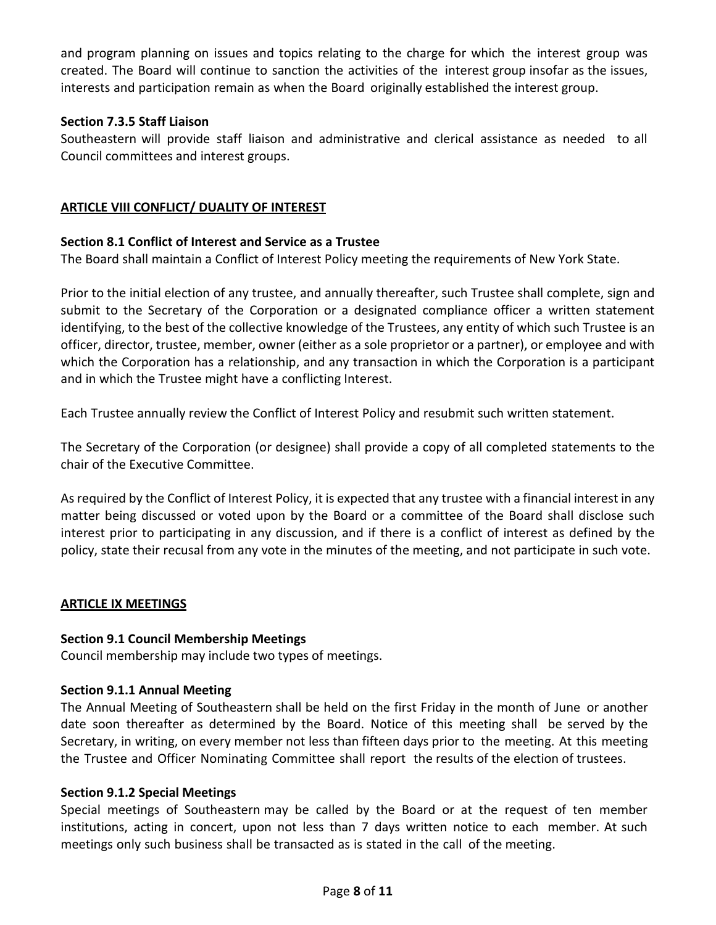and program planning on issues and topics relating to the charge for which the interest group was created. The Board will continue to sanction the activities of the interest group insofar as the issues, interests and participation remain as when the Board originally established the interest group.

# **Section 7.3.5 Staff Liaison**

Southeastern will provide staff liaison and administrative and clerical assistance as needed to all Council committees and interest groups.

# **ARTICLE VIII CONFLICT/ DUALITY OF INTEREST**

# **Section 8.1 Conflict of Interest and Service as a Trustee**

The Board shall maintain a Conflict of Interest Policy meeting the requirements of New York State.

Prior to the initial election of any trustee, and annually thereafter, such Trustee shall complete, sign and submit to the Secretary of the Corporation or a designated compliance officer a written statement identifying, to the best of the collective knowledge of the Trustees, any entity of which such Trustee is an officer, director, trustee, member, owner (either as a sole proprietor or a partner), or employee and with which the Corporation has a relationship, and any transaction in which the Corporation is a participant and in which the Trustee might have a conflicting Interest.

Each Trustee annually review the Conflict of Interest Policy and resubmit such written statement.

The Secretary of the Corporation (or designee) shall provide a copy of all completed statements to the chair of the Executive Committee.

As required by the Conflict of Interest Policy, it is expected that any trustee with a financial interest in any matter being discussed or voted upon by the Board or a committee of the Board shall disclose such interest prior to participating in any discussion, and if there is a conflict of interest as defined by the policy, state their recusal from any vote in the minutes of the meeting, and not participate in such vote.

# **ARTICLE IX MEETINGS**

# **Section 9.1 Council Membership Meetings**

Council membership may include two types of meetings.

# **Section 9.1.1 Annual Meeting**

The Annual Meeting of Southeastern shall be held on the first Friday in the month of June or another date soon thereafter as determined by the Board. Notice of this meeting shall be served by the Secretary, in writing, on every member not less than fifteen days prior to the meeting. At this meeting the Trustee and Officer Nominating Committee shall report the results of the election of trustees.

# **Section 9.1.2 Special Meetings**

Special meetings of Southeastern may be called by the Board or at the request of ten member institutions, acting in concert, upon not less than 7 days written notice to each member. At such meetings only such business shall be transacted as is stated in the call of the meeting.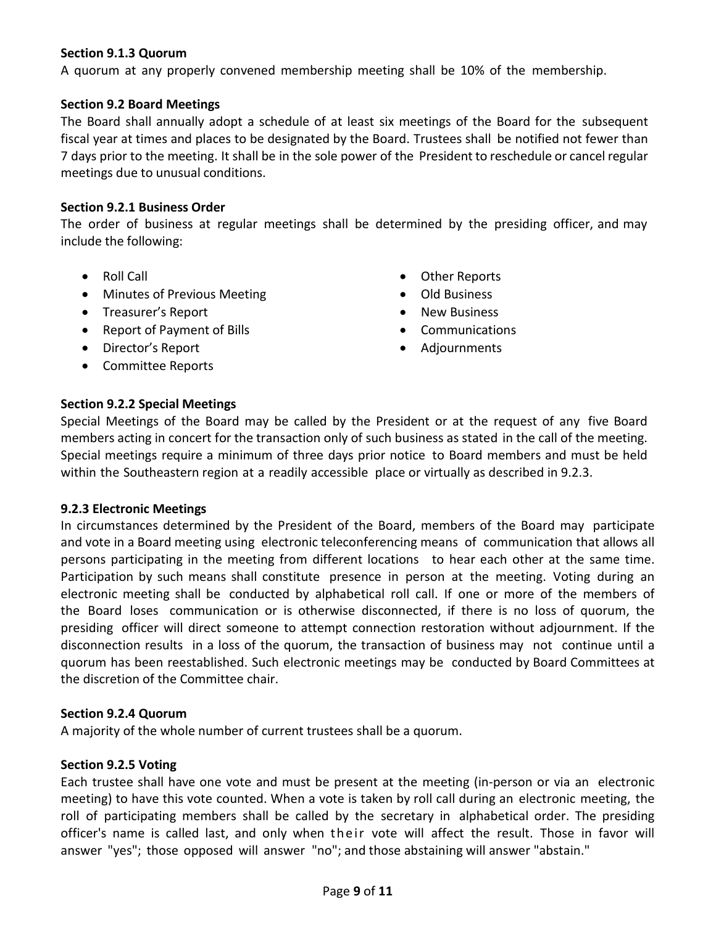# **Section 9.1.3 Quorum**

A quorum at any properly convened membership meeting shall be 10% of the membership.

## **Section 9.2 Board Meetings**

The Board shall annually adopt a schedule of at least six meetings of the Board for the subsequent fiscal year at times and places to be designated by the Board. Trustees shall be notified not fewer than 7 days prior to the meeting. It shall be in the sole power of the President to reschedule or cancel regular meetings due to unusual conditions.

## **Section 9.2.1 Business Order**

The order of business at regular meetings shall be determined by the presiding officer, and may include the following:

- Roll Call
- Minutes of Previous Meeting
- Treasurer's Report
- Report of Payment of Bills
- Director's Report
- Committee Reports
- Other Reports
- Old Business
- New Business
- Communications
- Adjournments

# **Section 9.2.2 Special Meetings**

Special Meetings of the Board may be called by the President or at the request of any five Board members acting in concert for the transaction only of such business as stated in the call of the meeting. Special meetings require a minimum of three days prior notice to Board members and must be held within the Southeastern region at a readily accessible place or virtually as described in 9.2.3.

### **9.2.3 Electronic Meetings**

In circumstances determined by the President of the Board, members of the Board may participate and vote in a Board meeting using electronic teleconferencing means of communication that allows all persons participating in the meeting from different locations to hear each other at the same time. Participation by such means shall constitute presence in person at the meeting. Voting during an electronic meeting shall be conducted by alphabetical roll call. If one or more of the members of the Board loses communication or is otherwise disconnected, if there is no loss of quorum, the presiding officer will direct someone to attempt connection restoration without adjournment. If the disconnection results in a loss of the quorum, the transaction of business may not continue until a quorum has been reestablished. Such electronic meetings may be conducted by Board Committees at the discretion of the Committee chair.

## **Section 9.2.4 Quorum**

A majority of the whole number of current trustees shall be a quorum.

### **Section 9.2.5 Voting**

Each trustee shall have one vote and must be present at the meeting (in-person or via an electronic meeting) to have this vote counted. When a vote is taken by roll call during an electronic meeting, the roll of participating members shall be called by the secretary in alphabetical order. The presiding officer's name is called last, and only when their vote will affect the result. Those in favor will answer "yes"; those opposed will answer "no"; and those abstaining will answer "abstain."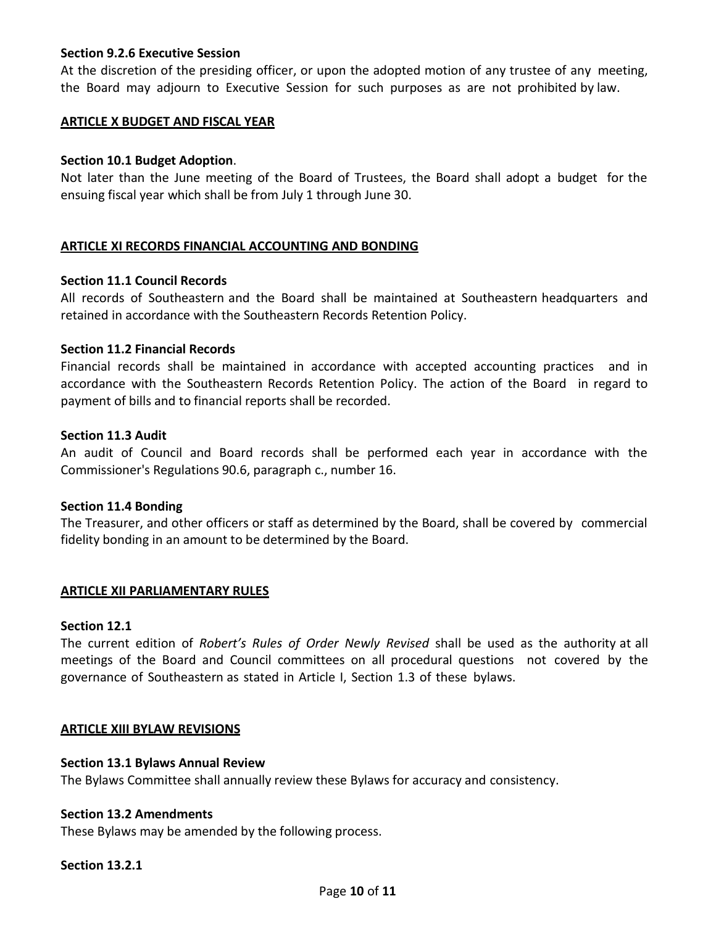## **Section 9.2.6 Executive Session**

At the discretion of the presiding officer, or upon the adopted motion of any trustee of any meeting, the Board may adjourn to Executive Session for such purposes as are not prohibited by law.

## **ARTICLE X BUDGET AND FISCAL YEAR**

## **Section 10.1 Budget Adoption**.

Not later than the June meeting of the Board of Trustees, the Board shall adopt a budget for the ensuing fiscal year which shall be from July 1 through June 30.

## **ARTICLE XI RECORDS FINANCIAL ACCOUNTING AND BONDING**

### **Section 11.1 Council Records**

All records of Southeastern and the Board shall be maintained at Southeastern headquarters and retained in accordance with the Southeastern Records Retention Policy.

### **Section 11.2 Financial Records**

Financial records shall be maintained in accordance with accepted accounting practices and in accordance with the Southeastern Records Retention Policy. The action of the Board in regard to payment of bills and to financial reports shall be recorded.

### **Section 11.3 Audit**

An audit of Council and Board records shall be performed each year in accordance with the Commissioner's Regulations 90.6, paragraph c., number 16.

### **Section 11.4 Bonding**

The Treasurer, and other officers or staff as determined by the Board, shall be covered by commercial fidelity bonding in an amount to be determined by the Board.

### **ARTICLE XII PARLIAMENTARY RULES**

### **Section 12.1**

The current edition of *Robert's Rules of Order Newly Revised* shall be used as the authority at all meetings of the Board and Council committees on all procedural questions not covered by the governance of Southeastern as stated in Article I, Section 1.3 of these bylaws.

### **ARTICLE XIII BYLAW REVISIONS**

### **Section 13.1 Bylaws Annual Review**

The Bylaws Committee shall annually review these Bylaws for accuracy and consistency.

#### **Section 13.2 Amendments**

These Bylaws may be amended by the following process.

#### **Section 13.2.1**